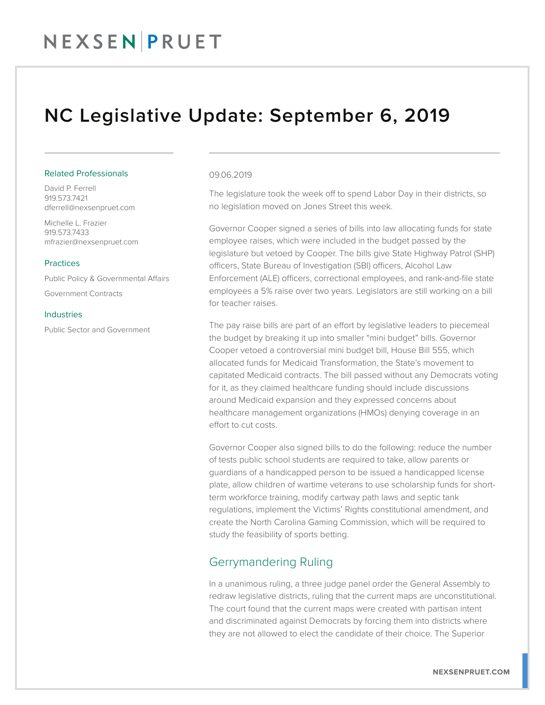## NEXSENPRUET

### NC Legislative Update: September 6, 2019

#### Related Professionals

David P. Ferrell 919.573.7421 dferrell@nexsenpruet.com

Michelle L. Frazier 919.573.7433 mfrazier@nexsenpruet.com

#### **Practices**

Public Policy & Governmental Affairs

Government Contracts

#### **Industries**

Public Sector and Government

#### 09.06.2019

The legislature took the week off to spend Labor Day in their districts, so no legislation moved on Jones Street this week.

Governor Cooper signed a series of bills into law allocating funds for state employee raises, which were included in the budget passed by the legislature but vetoed by Cooper. The bills give State Highway Patrol (SHP) officers, State Bureau of Investigation (SBI) officers, Alcohol Law Enforcement (ALE) officers, correctional employees, and rank-and-file state employees a 5% raise over two years. Legislators are still working on a bill for teacher raises.

The pay raise bills are part of an effort by legislative leaders to piecemeal the budget by breaking it up into smaller "mini budget" bills. Governor Cooper vetoed a controversial mini budget bill, House Bill 555, which allocated funds for Medicaid Transformation, the State's movement to capitated Medicaid contracts. The bill passed without any Democrats voting for it, as they claimed healthcare funding should include discussions around Medicaid expansion and they expressed concerns about healthcare management organizations (HMOs) denying coverage in an effort to cut costs.

Governor Cooper also signed bills to do the following: reduce the number of tests public school students are required to take, allow parents or guardians of a handicapped person to be issued a handicapped license plate, allow children of wartime veterans to use scholarship funds for shortterm workforce training, modify cartway path laws and septic tank regulations, implement the Victims' Rights constitutional amendment, and create the North Carolina Gaming Commission, which will be required to study the feasibility of sports betting.

### Gerrymandering Ruling

In a unanimous ruling, a three judge panel order the General Assembly to redraw legislative districts, ruling that the current maps are unconstitutional. The court found that the current maps were created with partisan intent and discriminated against Democrats by forcing them into districts where they are not allowed to elect the candidate of their choice. The Superior